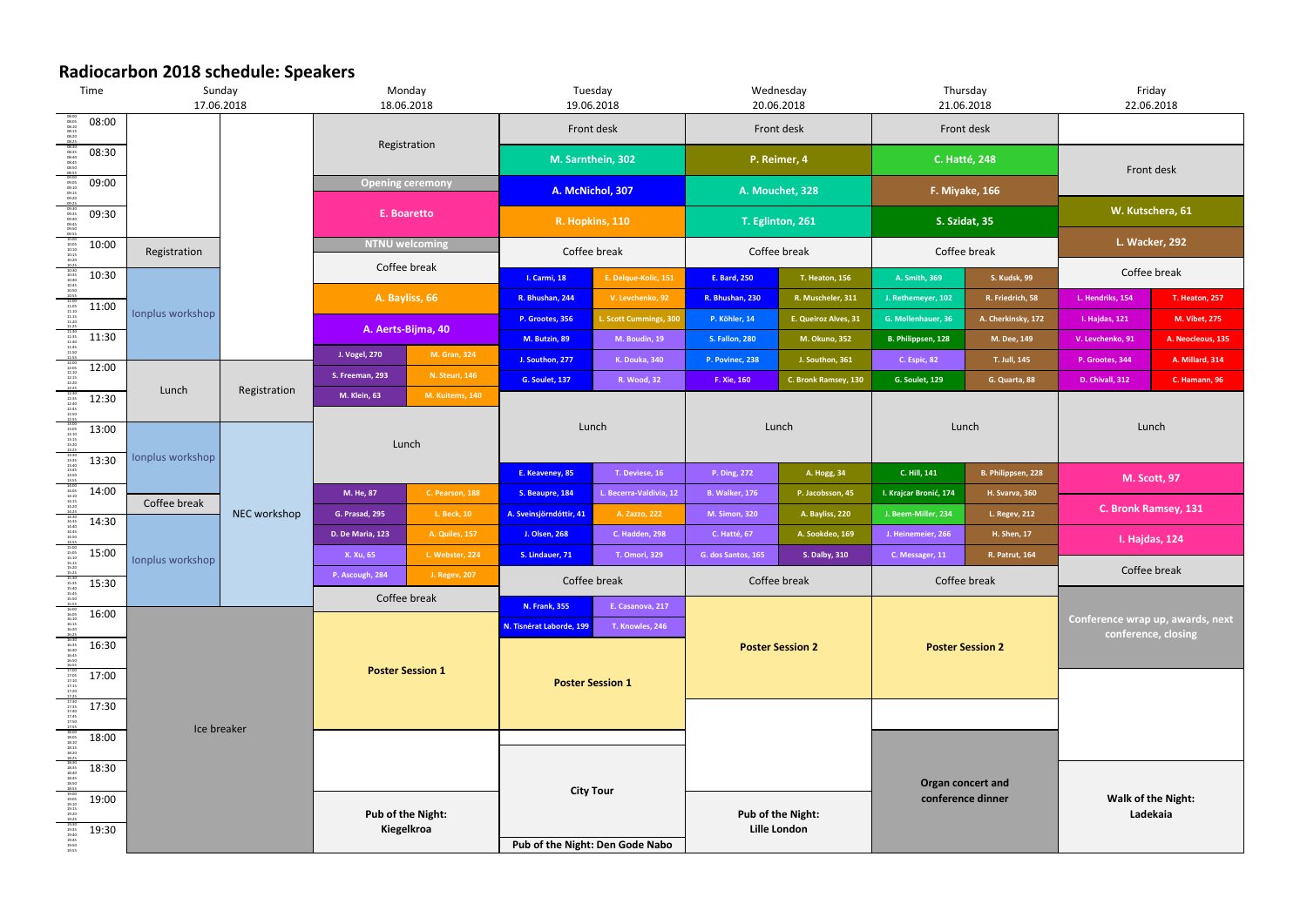## **Radiocarbon 2018 schedule: Speakers**

| Time                                                                                                                                                                                                                                                                                                        | Sunday<br>17.06.2018             |              | Monday<br>18.06.2018                   |                                      | Tuesday<br>19.06.2018                      |                                     | Wednesday<br>20.06.2018                  |                                         | Thursday<br>21.06.2018                      |                               | Friday<br>22.06.2018                                    |                                           |  |
|-------------------------------------------------------------------------------------------------------------------------------------------------------------------------------------------------------------------------------------------------------------------------------------------------------------|----------------------------------|--------------|----------------------------------------|--------------------------------------|--------------------------------------------|-------------------------------------|------------------------------------------|-----------------------------------------|---------------------------------------------|-------------------------------|---------------------------------------------------------|-------------------------------------------|--|
| 08:00                                                                                                                                                                                                                                                                                                       |                                  |              | Registration                           |                                      | Front desk                                 |                                     | Front desk                               |                                         | Front desk                                  |                               |                                                         |                                           |  |
| 08:30                                                                                                                                                                                                                                                                                                       |                                  |              |                                        |                                      | M. Sarnthein, 302                          |                                     | P. Reimer, 4                             |                                         | <b>C. Hatté, 248</b>                        |                               |                                                         |                                           |  |
| 09:00                                                                                                                                                                                                                                                                                                       |                                  |              |                                        | <b>Opening ceremony</b>              |                                            | A. McNichol, 307                    |                                          | A. Mouchet, 328                         |                                             | F. Miyake, 166                |                                                         | Front desk                                |  |
| 09:30                                                                                                                                                                                                                                                                                                       |                                  |              |                                        | E. Boaretto<br><b>NTNU welcoming</b> |                                            | R. Hopkins, 110<br>Coffee break     |                                          | T. Eglinton, 261<br>Coffee break        |                                             | S. Szidat, 35<br>Coffee break |                                                         | W. Kutschera, 61<br><b>L. Wacker, 292</b> |  |
| 10:00                                                                                                                                                                                                                                                                                                       |                                  |              |                                        |                                      |                                            |                                     |                                          |                                         |                                             |                               |                                                         |                                           |  |
| 10:30                                                                                                                                                                                                                                                                                                       | Registration                     |              | Coffee break                           |                                      | E. Delque-Kolic, 151<br>I. Carmi, 18       |                                     | <b>T. Heaton, 156</b><br>E. Bard, 250    |                                         | <b>S. Kudsk, 99</b><br>A. Smith, 369        |                               | Coffee break                                            |                                           |  |
| 11:00                                                                                                                                                                                                                                                                                                       |                                  |              | A. Bayliss, 66                         |                                      | R. Bhushan, 244                            | V. Levchenko, 92                    | R. Bhushan, 230                          | R. Muscheler, 311                       | J. Rethemeyer, 102                          | R. Friedrich, 58              | L. Hendriks, 154                                        | T. Heaton, 257                            |  |
|                                                                                                                                                                                                                                                                                                             | Ionplus workshop                 |              | A. Aerts-Bijma, 40                     |                                      | P. Grootes, 356                            | L. Scott Cummings, 300              | P. Köhler, 14                            | E. Queiroz Alves, 31                    | G. Mollenhauer, 36                          | A. Cherkinsky, 172            | I. Hajdas, 121                                          | M. Vibet, 275                             |  |
| 11:30                                                                                                                                                                                                                                                                                                       |                                  |              | <b>J. Vogel, 270</b>                   | M. Gran, 324                         | M. Butzin, 89                              | M. Boudin, 19                       | <b>S. Fallon, 280</b>                    | M. Okuno, 352                           | B. Philippsen, 128                          | M. Dee, 149                   | V. Levchenko, 91                                        | A. Neocleous, 135                         |  |
| 12:00                                                                                                                                                                                                                                                                                                       |                                  |              | S. Freeman, 293                        | N. Steuri, 146                       | J. Southon, 277<br><b>G. Soulet, 137</b>   | <b>K. Douka, 340</b><br>R. Wood, 32 | P. Povinec, 238<br>F. Xie, 160           | J. Southon, 361<br>C. Bronk Ramsey, 130 | C. Espic, 82<br><b>G. Soulet, 129</b>       | T. Juli, 145<br>G. Quarta, 88 | P. Grootes, 344<br>D. Chivall, 312                      | A. Millard, 314<br>C. Hamann, 96          |  |
| 12:30                                                                                                                                                                                                                                                                                                       | Lunch                            | Registration | <b>M. Klein, 63</b>                    | M. Kuitems, 140                      |                                            |                                     |                                          |                                         |                                             |                               |                                                         |                                           |  |
| $\begin{array}{r} 12:30 \\ 12:35 \\ 12:40 \\ 12:45 \\ 12:55 \\ 12:55 \\ 13:0 \\ 13:1 \\ 13:1 \\ 13:1 \\ 13:1 \\ 13:2 \\ 13:2 \\ 13:2 \\ 13:2 \\ 13:2 \\ 13:2 \\ 13:2 \\ 13:2 \\ 13:2 \\ 13:2 \\ 13:2 \\ 13:2 \\ 13:2 \\ 13:2 \\ 13:2 \\ 13:2 \\ 13:2 \\ 13:2 \\ 13:2 \\ 13:2 \\ 13:2 \\ 13:2 \\ 13:2 \\ 13$ |                                  | NEC workshop | Lunch                                  |                                      | Lunch<br>T. Deviese, 16<br>E. Keaveney, 85 |                                     | Lunch<br>P. Ding, 272<br>A. Hogg, 34     |                                         | Lunch<br>B. Philippsen, 228<br>C. Hill, 141 |                               | Lunch                                                   |                                           |  |
| 13:00                                                                                                                                                                                                                                                                                                       |                                  |              |                                        |                                      |                                            |                                     |                                          |                                         |                                             |                               |                                                         |                                           |  |
| 13:30                                                                                                                                                                                                                                                                                                       | Ionplus workshop                 |              |                                        |                                      |                                            |                                     |                                          |                                         |                                             |                               |                                                         |                                           |  |
| $\frac{13\,30}{13\,43\,45}$ $\frac{13\,43\,5}{13\,43\,5}$ $\frac{13\,43\,5}{13\,43\,5}$ $\frac{13\,43\,5}{14\,430}$ $\frac{14\,42\,5}{14\,430}$ $\frac{14\,25\,0}{14\,430}$ $\frac{14\,45\,5}{15\,45\,50}$ $\frac{15\,51\,5}{15\,45\,5}$ $\frac{15\,51\,5}{15\,45$<br>14:00                                 | Coffee break                     |              | M. He, 87                              | C. Pearson, 188                      | S. Beaupre, 184                            | L. Becerra-Valdivia, 12             | <b>B. Walker, 176</b>                    | P. Jacobsson, 45                        | I. Krajcar Bronić, 174                      | <b>H. Svarva, 360</b>         |                                                         | <b>M. Scott, 97</b>                       |  |
| 14:30                                                                                                                                                                                                                                                                                                       |                                  |              | G. Prasad, 295                         | L. Beck, 10                          | A. Sveinsjörndóttir, 41                    | A. Zazzo, 222                       | <b>M. Simon, 320</b>                     | A. Bayliss, 220                         | J. Beem-Miller, 234                         | L. Regev, 212                 | C. Bronk Ramsey, 131                                    |                                           |  |
|                                                                                                                                                                                                                                                                                                             |                                  |              | D. De Maria, 123                       | <b>A. Quiles, 157</b>                | J. Olsen, 268                              | <b>C. Hadden, 298</b>               | C. Hatté, 67                             | A. Sookdeo, 169                         | J. Heinemeier, 266                          | H. Shen, 17                   | I. Hajdas, 124                                          |                                           |  |
| 15:00                                                                                                                                                                                                                                                                                                       | lonplus workshop                 |              | X. Xu, 65                              | L. Webster, 224                      | S. Lindauer, 71                            | T. Omori, 329                       | G. dos Santos, 165                       | S. Dalby, 310                           | C. Messager, 11                             | R. Patrut, 164                |                                                         |                                           |  |
| 15:30<br>15:35<br>15:40<br>15:45<br>15:50<br>15:55<br>15:30                                                                                                                                                                                                                                                 |                                  |              | P. Ascough, 284<br>J. Regev, 207       |                                      | Coffee break                               |                                     | Coffee break                             |                                         | Coffee break                                |                               | Coffee break                                            |                                           |  |
| 16:00                                                                                                                                                                                                                                                                                                       |                                  |              |                                        | Coffee break                         |                                            | E. Casanova, 217                    |                                          |                                         |                                             |                               | Conference wrap up, awards, next<br>conference, closing |                                           |  |
|                                                                                                                                                                                                                                                                                                             |                                  |              |                                        |                                      | N. Tisnérat Laborde, 199                   | T. Knowles, 246                     |                                          |                                         |                                             |                               |                                                         |                                           |  |
| 16:30                                                                                                                                                                                                                                                                                                       |                                  |              |                                        |                                      |                                            |                                     | <b>Poster Session 2</b>                  |                                         | <b>Poster Session 2</b>                     |                               |                                                         |                                           |  |
| 17:00                                                                                                                                                                                                                                                                                                       |                                  |              | <b>Poster Session 1</b>                |                                      | <b>Poster Session 1</b>                    |                                     |                                          |                                         |                                             |                               |                                                         |                                           |  |
| 17:30                                                                                                                                                                                                                                                                                                       |                                  |              |                                        |                                      |                                            |                                     |                                          |                                         |                                             |                               |                                                         |                                           |  |
|                                                                                                                                                                                                                                                                                                             |                                  | Ice breaker  |                                        |                                      |                                            |                                     |                                          |                                         |                                             |                               |                                                         |                                           |  |
|                                                                                                                                                                                                                                                                                                             | 18:00<br>18:30<br>19:00<br>19:30 |              | <b>Pub of the Night:</b><br>Kiegelkroa |                                      | <b>City Tour</b>                           |                                     | <b>Pub of the Night:</b><br>Lille London |                                         | Organ concert and<br>conference dinner      |                               |                                                         |                                           |  |
|                                                                                                                                                                                                                                                                                                             |                                  |              |                                        |                                      |                                            |                                     |                                          |                                         |                                             |                               | <b>Walk of the Night:</b><br>Ladekaia                   |                                           |  |
|                                                                                                                                                                                                                                                                                                             |                                  |              |                                        |                                      |                                            |                                     |                                          |                                         |                                             |                               |                                                         |                                           |  |
|                                                                                                                                                                                                                                                                                                             |                                  |              |                                        |                                      |                                            |                                     |                                          |                                         |                                             |                               |                                                         |                                           |  |
|                                                                                                                                                                                                                                                                                                             |                                  |              |                                        |                                      | Pub of the Night: Den Gode Nabo            |                                     |                                          |                                         |                                             |                               |                                                         |                                           |  |